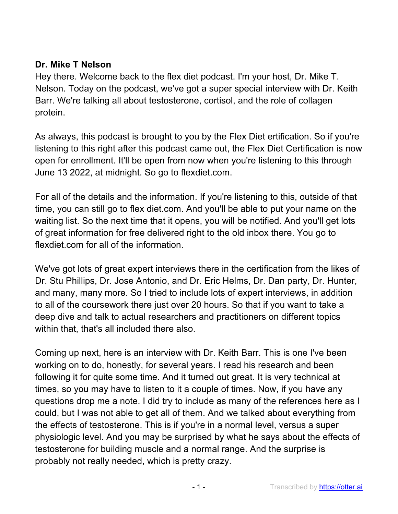#### **Dr. Mike T Nelson**

Hey there. Welcome back to the flex diet podcast. I'm your host, Dr. Mike T. Nelson. Today on the podcast, we've got a super special interview with Dr. Keith Barr. We're talking all about testosterone, cortisol, and the role of collagen protein.

As always, this podcast is brought to you by the Flex Diet ertification. So if you're listening to this right after this podcast came out, the Flex Diet Certification is now open for enrollment. It'll be open from now when you're listening to this through June 13 2022, at midnight. So go to flexdiet.com.

For all of the details and the information. If you're listening to this, outside of that time, you can still go to flex diet.com. And you'll be able to put your name on the waiting list. So the next time that it opens, you will be notified. And you'll get lots of great information for free delivered right to the old inbox there. You go to flexdiet.com for all of the information.

We've got lots of great expert interviews there in the certification from the likes of Dr. Stu Phillips, Dr. Jose Antonio, and Dr. Eric Helms, Dr. Dan party, Dr. Hunter, and many, many more. So I tried to include lots of expert interviews, in addition to all of the coursework there just over 20 hours. So that if you want to take a deep dive and talk to actual researchers and practitioners on different topics within that, that's all included there also.

Coming up next, here is an interview with Dr. Keith Barr. This is one I've been working on to do, honestly, for several years. I read his research and been following it for quite some time. And it turned out great. It is very technical at times, so you may have to listen to it a couple of times. Now, if you have any questions drop me a note. I did try to include as many of the references here as I could, but I was not able to get all of them. And we talked about everything from the effects of testosterone. This is if you're in a normal level, versus a super physiologic level. And you may be surprised by what he says about the effects of testosterone for building muscle and a normal range. And the surprise is probably not really needed, which is pretty crazy.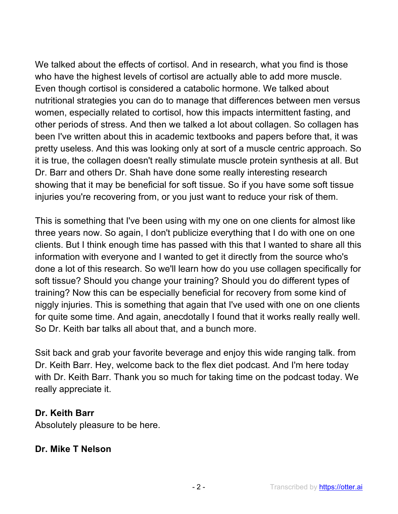We talked about the effects of cortisol. And in research, what you find is those who have the highest levels of cortisol are actually able to add more muscle. Even though cortisol is considered a catabolic hormone. We talked about nutritional strategies you can do to manage that differences between men versus women, especially related to cortisol, how this impacts intermittent fasting, and other periods of stress. And then we talked a lot about collagen. So collagen has been I've written about this in academic textbooks and papers before that, it was pretty useless. And this was looking only at sort of a muscle centric approach. So it is true, the collagen doesn't really stimulate muscle protein synthesis at all. But Dr. Barr and others Dr. Shah have done some really interesting research showing that it may be beneficial for soft tissue. So if you have some soft tissue injuries you're recovering from, or you just want to reduce your risk of them.

This is something that I've been using with my one on one clients for almost like three years now. So again, I don't publicize everything that I do with one on one clients. But I think enough time has passed with this that I wanted to share all this information with everyone and I wanted to get it directly from the source who's done a lot of this research. So we'll learn how do you use collagen specifically for soft tissue? Should you change your training? Should you do different types of training? Now this can be especially beneficial for recovery from some kind of niggly injuries. This is something that again that I've used with one on one clients for quite some time. And again, anecdotally I found that it works really really well. So Dr. Keith bar talks all about that, and a bunch more.

Ssit back and grab your favorite beverage and enjoy this wide ranging talk. from Dr. Keith Barr. Hey, welcome back to the flex diet podcast. And I'm here today with Dr. Keith Barr. Thank you so much for taking time on the podcast today. We really appreciate it.

### **Dr. Keith Barr**

Absolutely pleasure to be here.

#### **Dr. Mike T Nelson**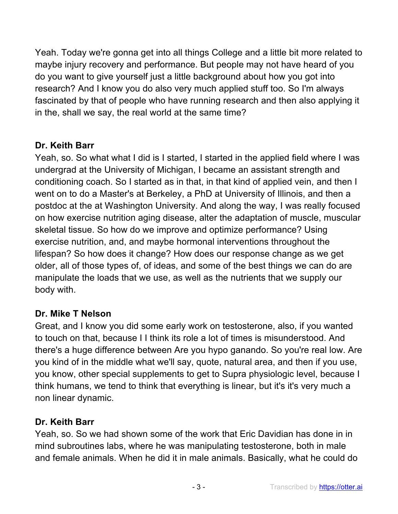Yeah. Today we're gonna get into all things College and a little bit more related to maybe injury recovery and performance. But people may not have heard of you do you want to give yourself just a little background about how you got into research? And I know you do also very much applied stuff too. So I'm always fascinated by that of people who have running research and then also applying it in the, shall we say, the real world at the same time?

# **Dr. Keith Barr**

Yeah, so. So what what I did is I started, I started in the applied field where I was undergrad at the University of Michigan, I became an assistant strength and conditioning coach. So I started as in that, in that kind of applied vein, and then I went on to do a Master's at Berkeley, a PhD at University of Illinois, and then a postdoc at the at Washington University. And along the way, I was really focused on how exercise nutrition aging disease, alter the adaptation of muscle, muscular skeletal tissue. So how do we improve and optimize performance? Using exercise nutrition, and, and maybe hormonal interventions throughout the lifespan? So how does it change? How does our response change as we get older, all of those types of, of ideas, and some of the best things we can do are manipulate the loads that we use, as well as the nutrients that we supply our body with.

### **Dr. Mike T Nelson**

Great, and I know you did some early work on testosterone, also, if you wanted to touch on that, because I I think its role a lot of times is misunderstood. And there's a huge difference between Are you hypo ganando. So you're real low. Are you kind of in the middle what we'll say, quote, natural area, and then if you use, you know, other special supplements to get to Supra physiologic level, because I think humans, we tend to think that everything is linear, but it's it's very much a non linear dynamic.

### **Dr. Keith Barr**

Yeah, so. So we had shown some of the work that Eric Davidian has done in in mind subroutines labs, where he was manipulating testosterone, both in male and female animals. When he did it in male animals. Basically, what he could do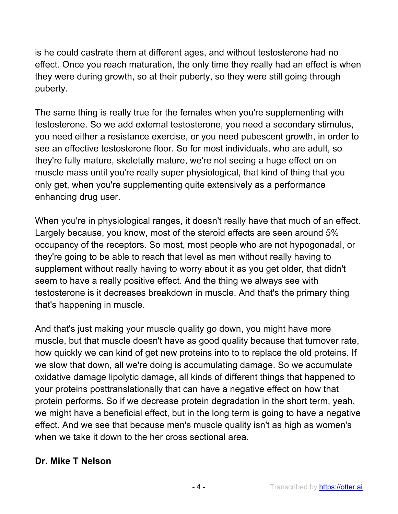is he could castrate them at different ages, and without testosterone had no effect. Once you reach maturation, the only time they really had an effect is when they were during growth, so at their puberty, so they were still going through puberty.

The same thing is really true for the females when you're supplementing with testosterone. So we add external testosterone, you need a secondary stimulus, you need either a resistance exercise, or you need pubescent growth, in order to see an effective testosterone floor. So for most individuals, who are adult, so they're fully mature, skeletally mature, we're not seeing a huge effect on on muscle mass until you're really super physiological, that kind of thing that you only get, when you're supplementing quite extensively as a performance enhancing drug user.

When you're in physiological ranges, it doesn't really have that much of an effect. Largely because, you know, most of the steroid effects are seen around 5% occupancy of the receptors. So most, most people who are not hypogonadal, or they're going to be able to reach that level as men without really having to supplement without really having to worry about it as you get older, that didn't seem to have a really positive effect. And the thing we always see with testosterone is it decreases breakdown in muscle. And that's the primary thing that's happening in muscle.

And that's just making your muscle quality go down, you might have more muscle, but that muscle doesn't have as good quality because that turnover rate, how quickly we can kind of get new proteins into to to replace the old proteins. If we slow that down, all we're doing is accumulating damage. So we accumulate oxidative damage lipolytic damage, all kinds of different things that happened to your proteins posttranslationally that can have a negative effect on how that protein performs. So if we decrease protein degradation in the short term, yeah, we might have a beneficial effect, but in the long term is going to have a negative effect. And we see that because men's muscle quality isn't as high as women's when we take it down to the her cross sectional area.

### **Dr. Mike T Nelson**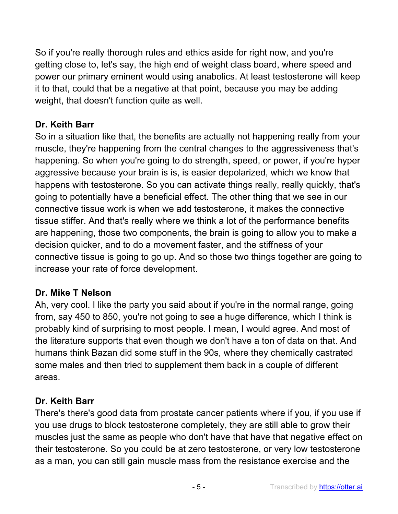So if you're really thorough rules and ethics aside for right now, and you're getting close to, let's say, the high end of weight class board, where speed and power our primary eminent would using anabolics. At least testosterone will keep it to that, could that be a negative at that point, because you may be adding weight, that doesn't function quite as well.

# **Dr. Keith Barr**

So in a situation like that, the benefits are actually not happening really from your muscle, they're happening from the central changes to the aggressiveness that's happening. So when you're going to do strength, speed, or power, if you're hyper aggressive because your brain is is, is easier depolarized, which we know that happens with testosterone. So you can activate things really, really quickly, that's going to potentially have a beneficial effect. The other thing that we see in our connective tissue work is when we add testosterone, it makes the connective tissue stiffer. And that's really where we think a lot of the performance benefits are happening, those two components, the brain is going to allow you to make a decision quicker, and to do a movement faster, and the stiffness of your connective tissue is going to go up. And so those two things together are going to increase your rate of force development.

### **Dr. Mike T Nelson**

Ah, very cool. I like the party you said about if you're in the normal range, going from, say 450 to 850, you're not going to see a huge difference, which I think is probably kind of surprising to most people. I mean, I would agree. And most of the literature supports that even though we don't have a ton of data on that. And humans think Bazan did some stuff in the 90s, where they chemically castrated some males and then tried to supplement them back in a couple of different areas.

# **Dr. Keith Barr**

There's there's good data from prostate cancer patients where if you, if you use if you use drugs to block testosterone completely, they are still able to grow their muscles just the same as people who don't have that have that negative effect on their testosterone. So you could be at zero testosterone, or very low testosterone as a man, you can still gain muscle mass from the resistance exercise and the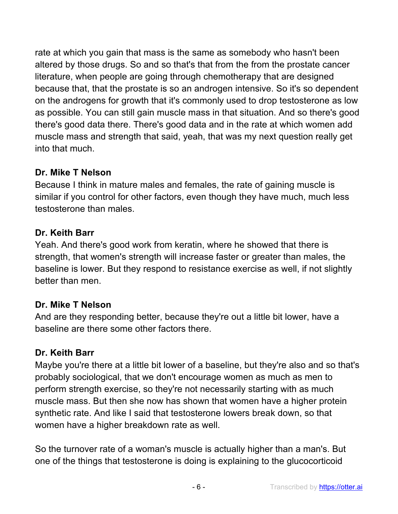rate at which you gain that mass is the same as somebody who hasn't been altered by those drugs. So and so that's that from the from the prostate cancer literature, when people are going through chemotherapy that are designed because that, that the prostate is so an androgen intensive. So it's so dependent on the androgens for growth that it's commonly used to drop testosterone as low as possible. You can still gain muscle mass in that situation. And so there's good there's good data there. There's good data and in the rate at which women add muscle mass and strength that said, yeah, that was my next question really get into that much.

# **Dr. Mike T Nelson**

Because I think in mature males and females, the rate of gaining muscle is similar if you control for other factors, even though they have much, much less testosterone than males.

# **Dr. Keith Barr**

Yeah. And there's good work from keratin, where he showed that there is strength, that women's strength will increase faster or greater than males, the baseline is lower. But they respond to resistance exercise as well, if not slightly better than men.

# **Dr. Mike T Nelson**

And are they responding better, because they're out a little bit lower, have a baseline are there some other factors there.

# **Dr. Keith Barr**

Maybe you're there at a little bit lower of a baseline, but they're also and so that's probably sociological, that we don't encourage women as much as men to perform strength exercise, so they're not necessarily starting with as much muscle mass. But then she now has shown that women have a higher protein synthetic rate. And like I said that testosterone lowers break down, so that women have a higher breakdown rate as well.

So the turnover rate of a woman's muscle is actually higher than a man's. But one of the things that testosterone is doing is explaining to the glucocorticoid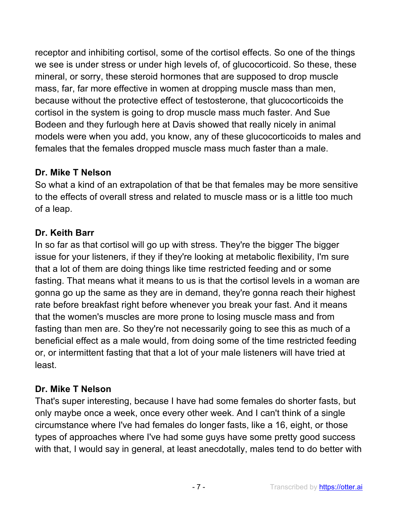receptor and inhibiting cortisol, some of the cortisol effects. So one of the things we see is under stress or under high levels of, of glucocorticoid. So these, these mineral, or sorry, these steroid hormones that are supposed to drop muscle mass, far, far more effective in women at dropping muscle mass than men, because without the protective effect of testosterone, that glucocorticoids the cortisol in the system is going to drop muscle mass much faster. And Sue Bodeen and they furlough here at Davis showed that really nicely in animal models were when you add, you know, any of these glucocorticoids to males and females that the females dropped muscle mass much faster than a male.

### **Dr. Mike T Nelson**

So what a kind of an extrapolation of that be that females may be more sensitive to the effects of overall stress and related to muscle mass or is a little too much of a leap.

# **Dr. Keith Barr**

In so far as that cortisol will go up with stress. They're the bigger The bigger issue for your listeners, if they if they're looking at metabolic flexibility, I'm sure that a lot of them are doing things like time restricted feeding and or some fasting. That means what it means to us is that the cortisol levels in a woman are gonna go up the same as they are in demand, they're gonna reach their highest rate before breakfast right before whenever you break your fast. And it means that the women's muscles are more prone to losing muscle mass and from fasting than men are. So they're not necessarily going to see this as much of a beneficial effect as a male would, from doing some of the time restricted feeding or, or intermittent fasting that that a lot of your male listeners will have tried at least.

### **Dr. Mike T Nelson**

That's super interesting, because I have had some females do shorter fasts, but only maybe once a week, once every other week. And I can't think of a single circumstance where I've had females do longer fasts, like a 16, eight, or those types of approaches where I've had some guys have some pretty good success with that, I would say in general, at least anecdotally, males tend to do better with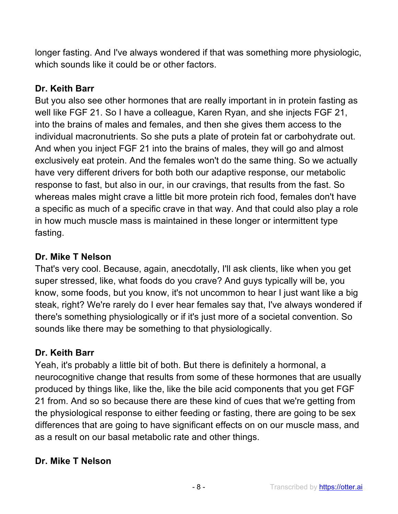longer fasting. And I've always wondered if that was something more physiologic, which sounds like it could be or other factors.

# **Dr. Keith Barr**

But you also see other hormones that are really important in in protein fasting as well like FGF 21. So I have a colleague, Karen Ryan, and she injects FGF 21, into the brains of males and females, and then she gives them access to the individual macronutrients. So she puts a plate of protein fat or carbohydrate out. And when you inject FGF 21 into the brains of males, they will go and almost exclusively eat protein. And the females won't do the same thing. So we actually have very different drivers for both both our adaptive response, our metabolic response to fast, but also in our, in our cravings, that results from the fast. So whereas males might crave a little bit more protein rich food, females don't have a specific as much of a specific crave in that way. And that could also play a role in how much muscle mass is maintained in these longer or intermittent type fasting.

# **Dr. Mike T Nelson**

That's very cool. Because, again, anecdotally, I'll ask clients, like when you get super stressed, like, what foods do you crave? And guys typically will be, you know, some foods, but you know, it's not uncommon to hear I just want like a big steak, right? We're rarely do I ever hear females say that, I've always wondered if there's something physiologically or if it's just more of a societal convention. So sounds like there may be something to that physiologically.

# **Dr. Keith Barr**

Yeah, it's probably a little bit of both. But there is definitely a hormonal, a neurocognitive change that results from some of these hormones that are usually produced by things like, like the, like the bile acid components that you get FGF 21 from. And so so because there are these kind of cues that we're getting from the physiological response to either feeding or fasting, there are going to be sex differences that are going to have significant effects on on our muscle mass, and as a result on our basal metabolic rate and other things.

# **Dr. Mike T Nelson**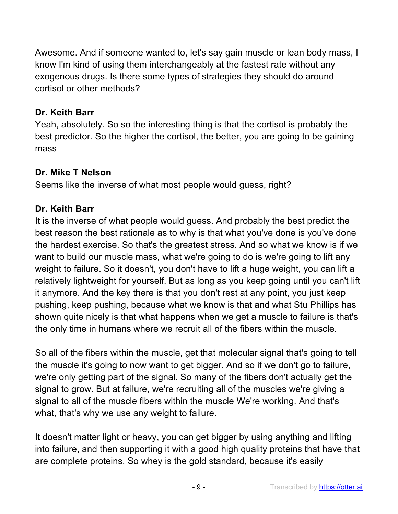Awesome. And if someone wanted to, let's say gain muscle or lean body mass, I know I'm kind of using them interchangeably at the fastest rate without any exogenous drugs. Is there some types of strategies they should do around cortisol or other methods?

### **Dr. Keith Barr**

Yeah, absolutely. So so the interesting thing is that the cortisol is probably the best predictor. So the higher the cortisol, the better, you are going to be gaining mass

#### **Dr. Mike T Nelson**

Seems like the inverse of what most people would guess, right?

### **Dr. Keith Barr**

It is the inverse of what people would guess. And probably the best predict the best reason the best rationale as to why is that what you've done is you've done the hardest exercise. So that's the greatest stress. And so what we know is if we want to build our muscle mass, what we're going to do is we're going to lift any weight to failure. So it doesn't, you don't have to lift a huge weight, you can lift a relatively lightweight for yourself. But as long as you keep going until you can't lift it anymore. And the key there is that you don't rest at any point, you just keep pushing, keep pushing, because what we know is that and what Stu Phillips has shown quite nicely is that what happens when we get a muscle to failure is that's the only time in humans where we recruit all of the fibers within the muscle.

So all of the fibers within the muscle, get that molecular signal that's going to tell the muscle it's going to now want to get bigger. And so if we don't go to failure, we're only getting part of the signal. So many of the fibers don't actually get the signal to grow. But at failure, we're recruiting all of the muscles we're giving a signal to all of the muscle fibers within the muscle We're working. And that's what, that's why we use any weight to failure.

It doesn't matter light or heavy, you can get bigger by using anything and lifting into failure, and then supporting it with a good high quality proteins that have that are complete proteins. So whey is the gold standard, because it's easily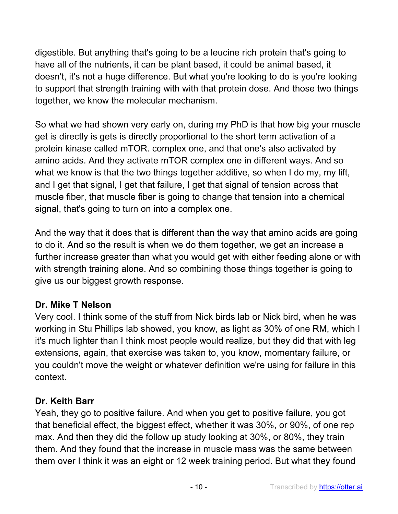digestible. But anything that's going to be a leucine rich protein that's going to have all of the nutrients, it can be plant based, it could be animal based, it doesn't, it's not a huge difference. But what you're looking to do is you're looking to support that strength training with with that protein dose. And those two things together, we know the molecular mechanism.

So what we had shown very early on, during my PhD is that how big your muscle get is directly is gets is directly proportional to the short term activation of a protein kinase called mTOR. complex one, and that one's also activated by amino acids. And they activate mTOR complex one in different ways. And so what we know is that the two things together additive, so when I do my, my lift, and I get that signal, I get that failure, I get that signal of tension across that muscle fiber, that muscle fiber is going to change that tension into a chemical signal, that's going to turn on into a complex one.

And the way that it does that is different than the way that amino acids are going to do it. And so the result is when we do them together, we get an increase a further increase greater than what you would get with either feeding alone or with with strength training alone. And so combining those things together is going to give us our biggest growth response.

### **Dr. Mike T Nelson**

Very cool. I think some of the stuff from Nick birds lab or Nick bird, when he was working in Stu Phillips lab showed, you know, as light as 30% of one RM, which I it's much lighter than I think most people would realize, but they did that with leg extensions, again, that exercise was taken to, you know, momentary failure, or you couldn't move the weight or whatever definition we're using for failure in this context.

### **Dr. Keith Barr**

Yeah, they go to positive failure. And when you get to positive failure, you got that beneficial effect, the biggest effect, whether it was 30%, or 90%, of one rep max. And then they did the follow up study looking at 30%, or 80%, they train them. And they found that the increase in muscle mass was the same between them over I think it was an eight or 12 week training period. But what they found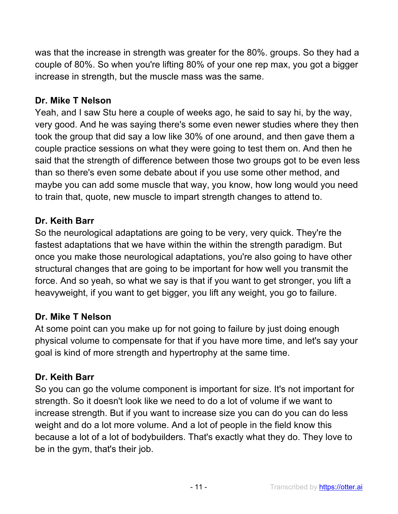was that the increase in strength was greater for the 80%. groups. So they had a couple of 80%. So when you're lifting 80% of your one rep max, you got a bigger increase in strength, but the muscle mass was the same.

#### **Dr. Mike T Nelson**

Yeah, and I saw Stu here a couple of weeks ago, he said to say hi, by the way, very good. And he was saying there's some even newer studies where they then took the group that did say a low like 30% of one around, and then gave them a couple practice sessions on what they were going to test them on. And then he said that the strength of difference between those two groups got to be even less than so there's even some debate about if you use some other method, and maybe you can add some muscle that way, you know, how long would you need to train that, quote, new muscle to impart strength changes to attend to.

#### **Dr. Keith Barr**

So the neurological adaptations are going to be very, very quick. They're the fastest adaptations that we have within the within the strength paradigm. But once you make those neurological adaptations, you're also going to have other structural changes that are going to be important for how well you transmit the force. And so yeah, so what we say is that if you want to get stronger, you lift a heavyweight, if you want to get bigger, you lift any weight, you go to failure.

#### **Dr. Mike T Nelson**

At some point can you make up for not going to failure by just doing enough physical volume to compensate for that if you have more time, and let's say your goal is kind of more strength and hypertrophy at the same time.

### **Dr. Keith Barr**

So you can go the volume component is important for size. It's not important for strength. So it doesn't look like we need to do a lot of volume if we want to increase strength. But if you want to increase size you can do you can do less weight and do a lot more volume. And a lot of people in the field know this because a lot of a lot of bodybuilders. That's exactly what they do. They love to be in the gym, that's their job.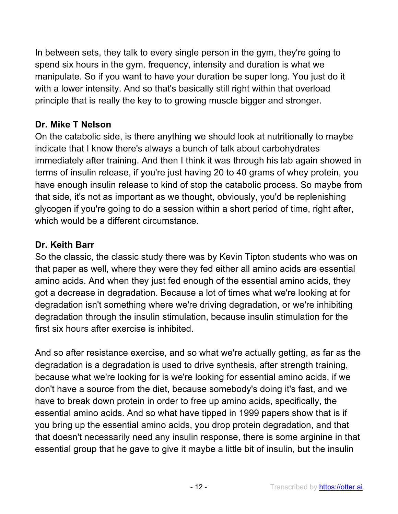In between sets, they talk to every single person in the gym, they're going to spend six hours in the gym. frequency, intensity and duration is what we manipulate. So if you want to have your duration be super long. You just do it with a lower intensity. And so that's basically still right within that overload principle that is really the key to to growing muscle bigger and stronger.

# **Dr. Mike T Nelson**

On the catabolic side, is there anything we should look at nutritionally to maybe indicate that I know there's always a bunch of talk about carbohydrates immediately after training. And then I think it was through his lab again showed in terms of insulin release, if you're just having 20 to 40 grams of whey protein, you have enough insulin release to kind of stop the catabolic process. So maybe from that side, it's not as important as we thought, obviously, you'd be replenishing glycogen if you're going to do a session within a short period of time, right after, which would be a different circumstance.

# **Dr. Keith Barr**

So the classic, the classic study there was by Kevin Tipton students who was on that paper as well, where they were they fed either all amino acids are essential amino acids. And when they just fed enough of the essential amino acids, they got a decrease in degradation. Because a lot of times what we're looking at for degradation isn't something where we're driving degradation, or we're inhibiting degradation through the insulin stimulation, because insulin stimulation for the first six hours after exercise is inhibited.

And so after resistance exercise, and so what we're actually getting, as far as the degradation is a degradation is used to drive synthesis, after strength training, because what we're looking for is we're looking for essential amino acids, if we don't have a source from the diet, because somebody's doing it's fast, and we have to break down protein in order to free up amino acids, specifically, the essential amino acids. And so what have tipped in 1999 papers show that is if you bring up the essential amino acids, you drop protein degradation, and that that doesn't necessarily need any insulin response, there is some arginine in that essential group that he gave to give it maybe a little bit of insulin, but the insulin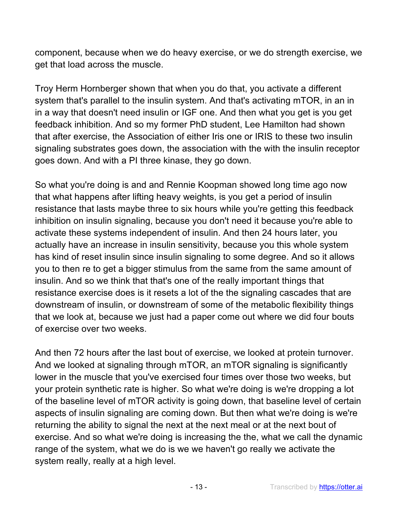component, because when we do heavy exercise, or we do strength exercise, we get that load across the muscle.

Troy Herm Hornberger shown that when you do that, you activate a different system that's parallel to the insulin system. And that's activating mTOR, in an in in a way that doesn't need insulin or IGF one. And then what you get is you get feedback inhibition. And so my former PhD student, Lee Hamilton had shown that after exercise, the Association of either Iris one or IRIS to these two insulin signaling substrates goes down, the association with the with the insulin receptor goes down. And with a PI three kinase, they go down.

So what you're doing is and and Rennie Koopman showed long time ago now that what happens after lifting heavy weights, is you get a period of insulin resistance that lasts maybe three to six hours while you're getting this feedback inhibition on insulin signaling, because you don't need it because you're able to activate these systems independent of insulin. And then 24 hours later, you actually have an increase in insulin sensitivity, because you this whole system has kind of reset insulin since insulin signaling to some degree. And so it allows you to then re to get a bigger stimulus from the same from the same amount of insulin. And so we think that that's one of the really important things that resistance exercise does is it resets a lot of the the signaling cascades that are downstream of insulin, or downstream of some of the metabolic flexibility things that we look at, because we just had a paper come out where we did four bouts of exercise over two weeks.

And then 72 hours after the last bout of exercise, we looked at protein turnover. And we looked at signaling through mTOR, an mTOR signaling is significantly lower in the muscle that you've exercised four times over those two weeks, but your protein synthetic rate is higher. So what we're doing is we're dropping a lot of the baseline level of mTOR activity is going down, that baseline level of certain aspects of insulin signaling are coming down. But then what we're doing is we're returning the ability to signal the next at the next meal or at the next bout of exercise. And so what we're doing is increasing the the, what we call the dynamic range of the system, what we do is we we haven't go really we activate the system really, really at a high level.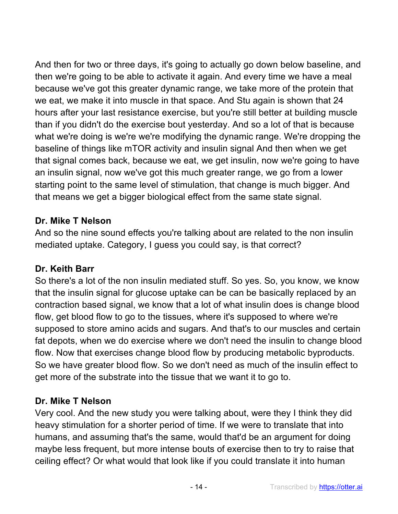And then for two or three days, it's going to actually go down below baseline, and then we're going to be able to activate it again. And every time we have a meal because we've got this greater dynamic range, we take more of the protein that we eat, we make it into muscle in that space. And Stu again is shown that 24 hours after your last resistance exercise, but you're still better at building muscle than if you didn't do the exercise bout yesterday. And so a lot of that is because what we're doing is we're we're modifying the dynamic range. We're dropping the baseline of things like mTOR activity and insulin signal And then when we get that signal comes back, because we eat, we get insulin, now we're going to have an insulin signal, now we've got this much greater range, we go from a lower starting point to the same level of stimulation, that change is much bigger. And that means we get a bigger biological effect from the same state signal.

### **Dr. Mike T Nelson**

And so the nine sound effects you're talking about are related to the non insulin mediated uptake. Category, I guess you could say, is that correct?

# **Dr. Keith Barr**

So there's a lot of the non insulin mediated stuff. So yes. So, you know, we know that the insulin signal for glucose uptake can be can be basically replaced by an contraction based signal, we know that a lot of what insulin does is change blood flow, get blood flow to go to the tissues, where it's supposed to where we're supposed to store amino acids and sugars. And that's to our muscles and certain fat depots, when we do exercise where we don't need the insulin to change blood flow. Now that exercises change blood flow by producing metabolic byproducts. So we have greater blood flow. So we don't need as much of the insulin effect to get more of the substrate into the tissue that we want it to go to.

### **Dr. Mike T Nelson**

Very cool. And the new study you were talking about, were they I think they did heavy stimulation for a shorter period of time. If we were to translate that into humans, and assuming that's the same, would that'd be an argument for doing maybe less frequent, but more intense bouts of exercise then to try to raise that ceiling effect? Or what would that look like if you could translate it into human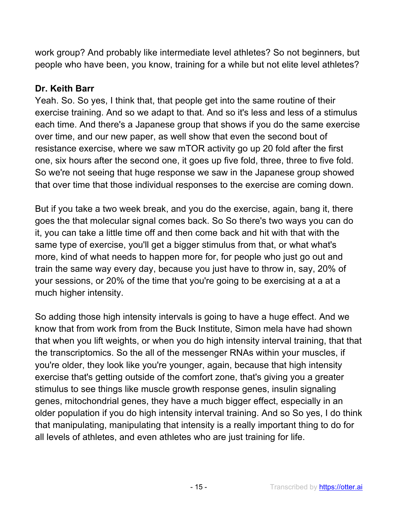work group? And probably like intermediate level athletes? So not beginners, but people who have been, you know, training for a while but not elite level athletes?

# **Dr. Keith Barr**

Yeah. So. So yes, I think that, that people get into the same routine of their exercise training. And so we adapt to that. And so it's less and less of a stimulus each time. And there's a Japanese group that shows if you do the same exercise over time, and our new paper, as well show that even the second bout of resistance exercise, where we saw mTOR activity go up 20 fold after the first one, six hours after the second one, it goes up five fold, three, three to five fold. So we're not seeing that huge response we saw in the Japanese group showed that over time that those individual responses to the exercise are coming down.

But if you take a two week break, and you do the exercise, again, bang it, there goes the that molecular signal comes back. So So there's two ways you can do it, you can take a little time off and then come back and hit with that with the same type of exercise, you'll get a bigger stimulus from that, or what what's more, kind of what needs to happen more for, for people who just go out and train the same way every day, because you just have to throw in, say, 20% of your sessions, or 20% of the time that you're going to be exercising at a at a much higher intensity.

So adding those high intensity intervals is going to have a huge effect. And we know that from work from from the Buck Institute, Simon mela have had shown that when you lift weights, or when you do high intensity interval training, that that the transcriptomics. So the all of the messenger RNAs within your muscles, if you're older, they look like you're younger, again, because that high intensity exercise that's getting outside of the comfort zone, that's giving you a greater stimulus to see things like muscle growth response genes, insulin signaling genes, mitochondrial genes, they have a much bigger effect, especially in an older population if you do high intensity interval training. And so So yes, I do think that manipulating, manipulating that intensity is a really important thing to do for all levels of athletes, and even athletes who are just training for life.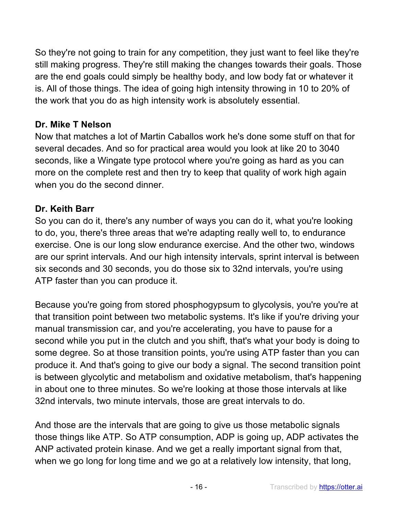So they're not going to train for any competition, they just want to feel like they're still making progress. They're still making the changes towards their goals. Those are the end goals could simply be healthy body, and low body fat or whatever it is. All of those things. The idea of going high intensity throwing in 10 to 20% of the work that you do as high intensity work is absolutely essential.

### **Dr. Mike T Nelson**

Now that matches a lot of Martin Caballos work he's done some stuff on that for several decades. And so for practical area would you look at like 20 to 3040 seconds, like a Wingate type protocol where you're going as hard as you can more on the complete rest and then try to keep that quality of work high again when you do the second dinner.

# **Dr. Keith Barr**

So you can do it, there's any number of ways you can do it, what you're looking to do, you, there's three areas that we're adapting really well to, to endurance exercise. One is our long slow endurance exercise. And the other two, windows are our sprint intervals. And our high intensity intervals, sprint interval is between six seconds and 30 seconds, you do those six to 32nd intervals, you're using ATP faster than you can produce it.

Because you're going from stored phosphogypsum to glycolysis, you're you're at that transition point between two metabolic systems. It's like if you're driving your manual transmission car, and you're accelerating, you have to pause for a second while you put in the clutch and you shift, that's what your body is doing to some degree. So at those transition points, you're using ATP faster than you can produce it. And that's going to give our body a signal. The second transition point is between glycolytic and metabolism and oxidative metabolism, that's happening in about one to three minutes. So we're looking at those those intervals at like 32nd intervals, two minute intervals, those are great intervals to do.

And those are the intervals that are going to give us those metabolic signals those things like ATP. So ATP consumption, ADP is going up, ADP activates the ANP activated protein kinase. And we get a really important signal from that, when we go long for long time and we go at a relatively low intensity, that long,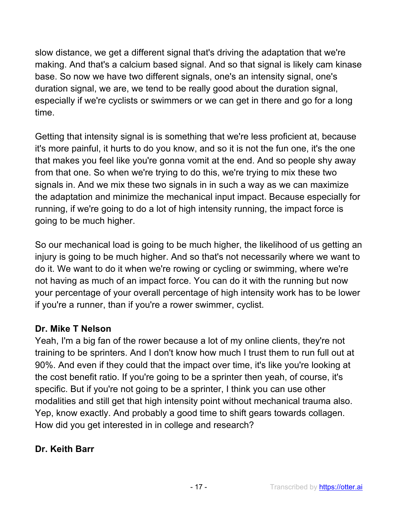slow distance, we get a different signal that's driving the adaptation that we're making. And that's a calcium based signal. And so that signal is likely cam kinase base. So now we have two different signals, one's an intensity signal, one's duration signal, we are, we tend to be really good about the duration signal, especially if we're cyclists or swimmers or we can get in there and go for a long time.

Getting that intensity signal is is something that we're less proficient at, because it's more painful, it hurts to do you know, and so it is not the fun one, it's the one that makes you feel like you're gonna vomit at the end. And so people shy away from that one. So when we're trying to do this, we're trying to mix these two signals in. And we mix these two signals in in such a way as we can maximize the adaptation and minimize the mechanical input impact. Because especially for running, if we're going to do a lot of high intensity running, the impact force is going to be much higher.

So our mechanical load is going to be much higher, the likelihood of us getting an injury is going to be much higher. And so that's not necessarily where we want to do it. We want to do it when we're rowing or cycling or swimming, where we're not having as much of an impact force. You can do it with the running but now your percentage of your overall percentage of high intensity work has to be lower if you're a runner, than if you're a rower swimmer, cyclist.

# **Dr. Mike T Nelson**

Yeah, I'm a big fan of the rower because a lot of my online clients, they're not training to be sprinters. And I don't know how much I trust them to run full out at 90%. And even if they could that the impact over time, it's like you're looking at the cost benefit ratio. If you're going to be a sprinter then yeah, of course, it's specific. But if you're not going to be a sprinter, I think you can use other modalities and still get that high intensity point without mechanical trauma also. Yep, know exactly. And probably a good time to shift gears towards collagen. How did you get interested in in college and research?

# **Dr. Keith Barr**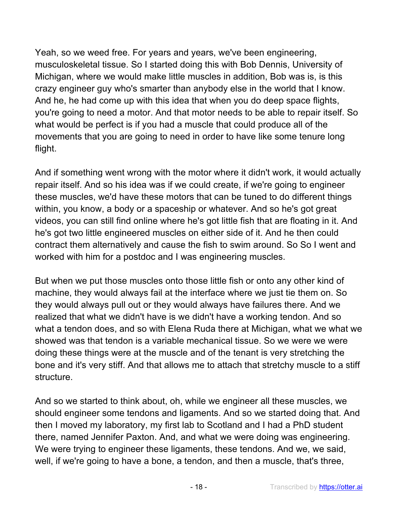Yeah, so we weed free. For years and years, we've been engineering, musculoskeletal tissue. So I started doing this with Bob Dennis, University of Michigan, where we would make little muscles in addition, Bob was is, is this crazy engineer guy who's smarter than anybody else in the world that I know. And he, he had come up with this idea that when you do deep space flights, you're going to need a motor. And that motor needs to be able to repair itself. So what would be perfect is if you had a muscle that could produce all of the movements that you are going to need in order to have like some tenure long flight.

And if something went wrong with the motor where it didn't work, it would actually repair itself. And so his idea was if we could create, if we're going to engineer these muscles, we'd have these motors that can be tuned to do different things within, you know, a body or a spaceship or whatever. And so he's got great videos, you can still find online where he's got little fish that are floating in it. And he's got two little engineered muscles on either side of it. And he then could contract them alternatively and cause the fish to swim around. So So I went and worked with him for a postdoc and I was engineering muscles.

But when we put those muscles onto those little fish or onto any other kind of machine, they would always fail at the interface where we just tie them on. So they would always pull out or they would always have failures there. And we realized that what we didn't have is we didn't have a working tendon. And so what a tendon does, and so with Elena Ruda there at Michigan, what we what we showed was that tendon is a variable mechanical tissue. So we were we were doing these things were at the muscle and of the tenant is very stretching the bone and it's very stiff. And that allows me to attach that stretchy muscle to a stiff structure.

And so we started to think about, oh, while we engineer all these muscles, we should engineer some tendons and ligaments. And so we started doing that. And then I moved my laboratory, my first lab to Scotland and I had a PhD student there, named Jennifer Paxton. And, and what we were doing was engineering. We were trying to engineer these ligaments, these tendons. And we, we said, well, if we're going to have a bone, a tendon, and then a muscle, that's three,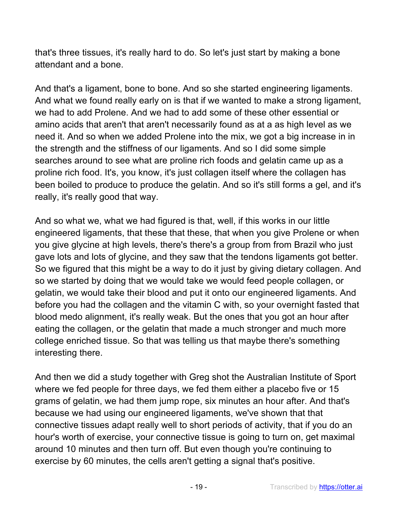that's three tissues, it's really hard to do. So let's just start by making a bone attendant and a bone.

And that's a ligament, bone to bone. And so she started engineering ligaments. And what we found really early on is that if we wanted to make a strong ligament, we had to add Prolene. And we had to add some of these other essential or amino acids that aren't that aren't necessarily found as at a as high level as we need it. And so when we added Prolene into the mix, we got a big increase in in the strength and the stiffness of our ligaments. And so I did some simple searches around to see what are proline rich foods and gelatin came up as a proline rich food. It's, you know, it's just collagen itself where the collagen has been boiled to produce to produce the gelatin. And so it's still forms a gel, and it's really, it's really good that way.

And so what we, what we had figured is that, well, if this works in our little engineered ligaments, that these that these, that when you give Prolene or when you give glycine at high levels, there's there's a group from from Brazil who just gave lots and lots of glycine, and they saw that the tendons ligaments got better. So we figured that this might be a way to do it just by giving dietary collagen. And so we started by doing that we would take we would feed people collagen, or gelatin, we would take their blood and put it onto our engineered ligaments. And before you had the collagen and the vitamin C with, so your overnight fasted that blood medo alignment, it's really weak. But the ones that you got an hour after eating the collagen, or the gelatin that made a much stronger and much more college enriched tissue. So that was telling us that maybe there's something interesting there.

And then we did a study together with Greg shot the Australian Institute of Sport where we fed people for three days, we fed them either a placebo five or 15 grams of gelatin, we had them jump rope, six minutes an hour after. And that's because we had using our engineered ligaments, we've shown that that connective tissues adapt really well to short periods of activity, that if you do an hour's worth of exercise, your connective tissue is going to turn on, get maximal around 10 minutes and then turn off. But even though you're continuing to exercise by 60 minutes, the cells aren't getting a signal that's positive.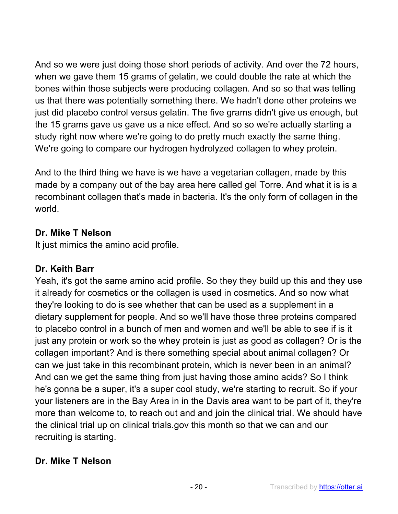And so we were just doing those short periods of activity. And over the 72 hours, when we gave them 15 grams of gelatin, we could double the rate at which the bones within those subjects were producing collagen. And so so that was telling us that there was potentially something there. We hadn't done other proteins we just did placebo control versus gelatin. The five grams didn't give us enough, but the 15 grams gave us gave us a nice effect. And so so we're actually starting a study right now where we're going to do pretty much exactly the same thing. We're going to compare our hydrogen hydrolyzed collagen to whey protein.

And to the third thing we have is we have a vegetarian collagen, made by this made by a company out of the bay area here called gel Torre. And what it is is a recombinant collagen that's made in bacteria. It's the only form of collagen in the world.

# **Dr. Mike T Nelson**

It just mimics the amino acid profile.

# **Dr. Keith Barr**

Yeah, it's got the same amino acid profile. So they they build up this and they use it already for cosmetics or the collagen is used in cosmetics. And so now what they're looking to do is see whether that can be used as a supplement in a dietary supplement for people. And so we'll have those three proteins compared to placebo control in a bunch of men and women and we'll be able to see if is it just any protein or work so the whey protein is just as good as collagen? Or is the collagen important? And is there something special about animal collagen? Or can we just take in this recombinant protein, which is never been in an animal? And can we get the same thing from just having those amino acids? So I think he's gonna be a super, it's a super cool study, we're starting to recruit. So if your your listeners are in the Bay Area in in the Davis area want to be part of it, they're more than welcome to, to reach out and and join the clinical trial. We should have the clinical trial up on clinical trials.gov this month so that we can and our recruiting is starting.

# **Dr. Mike T Nelson**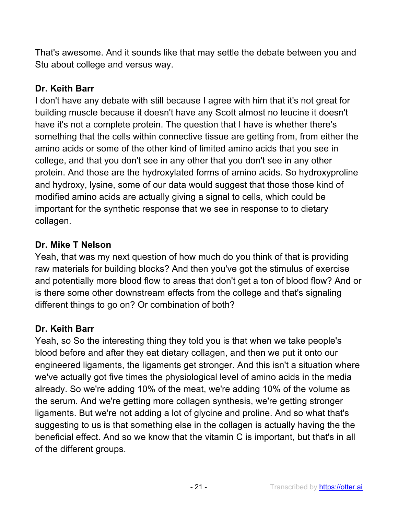That's awesome. And it sounds like that may settle the debate between you and Stu about college and versus way.

# **Dr. Keith Barr**

I don't have any debate with still because I agree with him that it's not great for building muscle because it doesn't have any Scott almost no leucine it doesn't have it's not a complete protein. The question that I have is whether there's something that the cells within connective tissue are getting from, from either the amino acids or some of the other kind of limited amino acids that you see in college, and that you don't see in any other that you don't see in any other protein. And those are the hydroxylated forms of amino acids. So hydroxyproline and hydroxy, lysine, some of our data would suggest that those those kind of modified amino acids are actually giving a signal to cells, which could be important for the synthetic response that we see in response to to dietary collagen.

# **Dr. Mike T Nelson**

Yeah, that was my next question of how much do you think of that is providing raw materials for building blocks? And then you've got the stimulus of exercise and potentially more blood flow to areas that don't get a ton of blood flow? And or is there some other downstream effects from the college and that's signaling different things to go on? Or combination of both?

# **Dr. Keith Barr**

Yeah, so So the interesting thing they told you is that when we take people's blood before and after they eat dietary collagen, and then we put it onto our engineered ligaments, the ligaments get stronger. And this isn't a situation where we've actually got five times the physiological level of amino acids in the media already. So we're adding 10% of the meat, we're adding 10% of the volume as the serum. And we're getting more collagen synthesis, we're getting stronger ligaments. But we're not adding a lot of glycine and proline. And so what that's suggesting to us is that something else in the collagen is actually having the the beneficial effect. And so we know that the vitamin C is important, but that's in all of the different groups.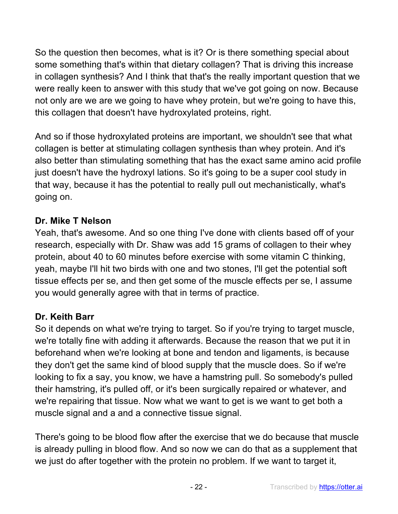So the question then becomes, what is it? Or is there something special about some something that's within that dietary collagen? That is driving this increase in collagen synthesis? And I think that that's the really important question that we were really keen to answer with this study that we've got going on now. Because not only are we are we going to have whey protein, but we're going to have this, this collagen that doesn't have hydroxylated proteins, right.

And so if those hydroxylated proteins are important, we shouldn't see that what collagen is better at stimulating collagen synthesis than whey protein. And it's also better than stimulating something that has the exact same amino acid profile just doesn't have the hydroxyl lations. So it's going to be a super cool study in that way, because it has the potential to really pull out mechanistically, what's going on.

### **Dr. Mike T Nelson**

Yeah, that's awesome. And so one thing I've done with clients based off of your research, especially with Dr. Shaw was add 15 grams of collagen to their whey protein, about 40 to 60 minutes before exercise with some vitamin C thinking, yeah, maybe I'll hit two birds with one and two stones, I'll get the potential soft tissue effects per se, and then get some of the muscle effects per se, I assume you would generally agree with that in terms of practice.

# **Dr. Keith Barr**

So it depends on what we're trying to target. So if you're trying to target muscle, we're totally fine with adding it afterwards. Because the reason that we put it in beforehand when we're looking at bone and tendon and ligaments, is because they don't get the same kind of blood supply that the muscle does. So if we're looking to fix a say, you know, we have a hamstring pull. So somebody's pulled their hamstring, it's pulled off, or it's been surgically repaired or whatever, and we're repairing that tissue. Now what we want to get is we want to get both a muscle signal and a and a connective tissue signal.

There's going to be blood flow after the exercise that we do because that muscle is already pulling in blood flow. And so now we can do that as a supplement that we just do after together with the protein no problem. If we want to target it,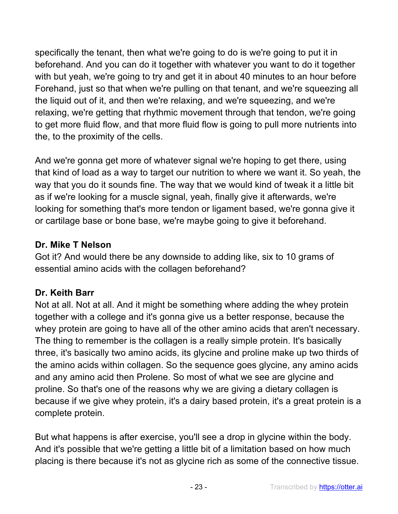specifically the tenant, then what we're going to do is we're going to put it in beforehand. And you can do it together with whatever you want to do it together with but yeah, we're going to try and get it in about 40 minutes to an hour before Forehand, just so that when we're pulling on that tenant, and we're squeezing all the liquid out of it, and then we're relaxing, and we're squeezing, and we're relaxing, we're getting that rhythmic movement through that tendon, we're going to get more fluid flow, and that more fluid flow is going to pull more nutrients into the, to the proximity of the cells.

And we're gonna get more of whatever signal we're hoping to get there, using that kind of load as a way to target our nutrition to where we want it. So yeah, the way that you do it sounds fine. The way that we would kind of tweak it a little bit as if we're looking for a muscle signal, yeah, finally give it afterwards, we're looking for something that's more tendon or ligament based, we're gonna give it or cartilage base or bone base, we're maybe going to give it beforehand.

### **Dr. Mike T Nelson**

Got it? And would there be any downside to adding like, six to 10 grams of essential amino acids with the collagen beforehand?

# **Dr. Keith Barr**

Not at all. Not at all. And it might be something where adding the whey protein together with a college and it's gonna give us a better response, because the whey protein are going to have all of the other amino acids that aren't necessary. The thing to remember is the collagen is a really simple protein. It's basically three, it's basically two amino acids, its glycine and proline make up two thirds of the amino acids within collagen. So the sequence goes glycine, any amino acids and any amino acid then Prolene. So most of what we see are glycine and proline. So that's one of the reasons why we are giving a dietary collagen is because if we give whey protein, it's a dairy based protein, it's a great protein is a complete protein.

But what happens is after exercise, you'll see a drop in glycine within the body. And it's possible that we're getting a little bit of a limitation based on how much placing is there because it's not as glycine rich as some of the connective tissue.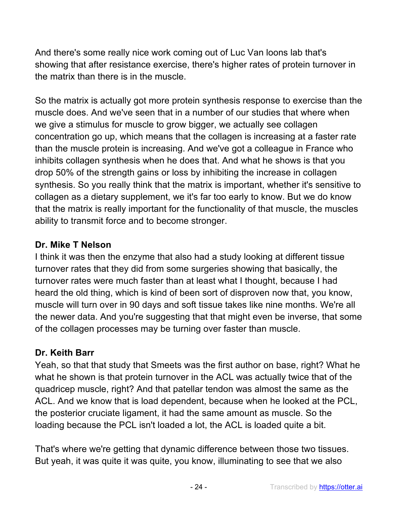And there's some really nice work coming out of Luc Van loons lab that's showing that after resistance exercise, there's higher rates of protein turnover in the matrix than there is in the muscle.

So the matrix is actually got more protein synthesis response to exercise than the muscle does. And we've seen that in a number of our studies that where when we give a stimulus for muscle to grow bigger, we actually see collagen concentration go up, which means that the collagen is increasing at a faster rate than the muscle protein is increasing. And we've got a colleague in France who inhibits collagen synthesis when he does that. And what he shows is that you drop 50% of the strength gains or loss by inhibiting the increase in collagen synthesis. So you really think that the matrix is important, whether it's sensitive to collagen as a dietary supplement, we it's far too early to know. But we do know that the matrix is really important for the functionality of that muscle, the muscles ability to transmit force and to become stronger.

# **Dr. Mike T Nelson**

I think it was then the enzyme that also had a study looking at different tissue turnover rates that they did from some surgeries showing that basically, the turnover rates were much faster than at least what I thought, because I had heard the old thing, which is kind of been sort of disproven now that, you know, muscle will turn over in 90 days and soft tissue takes like nine months. We're all the newer data. And you're suggesting that that might even be inverse, that some of the collagen processes may be turning over faster than muscle.

# **Dr. Keith Barr**

Yeah, so that that study that Smeets was the first author on base, right? What he what he shown is that protein turnover in the ACL was actually twice that of the quadricep muscle, right? And that patellar tendon was almost the same as the ACL. And we know that is load dependent, because when he looked at the PCL, the posterior cruciate ligament, it had the same amount as muscle. So the loading because the PCL isn't loaded a lot, the ACL is loaded quite a bit.

That's where we're getting that dynamic difference between those two tissues. But yeah, it was quite it was quite, you know, illuminating to see that we also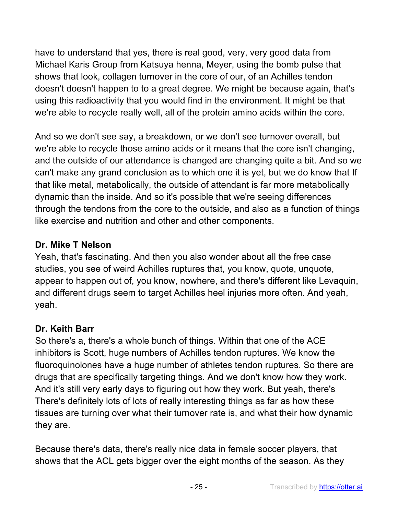have to understand that yes, there is real good, very, very good data from Michael Karis Group from Katsuya henna, Meyer, using the bomb pulse that shows that look, collagen turnover in the core of our, of an Achilles tendon doesn't doesn't happen to to a great degree. We might be because again, that's using this radioactivity that you would find in the environment. It might be that we're able to recycle really well, all of the protein amino acids within the core.

And so we don't see say, a breakdown, or we don't see turnover overall, but we're able to recycle those amino acids or it means that the core isn't changing, and the outside of our attendance is changed are changing quite a bit. And so we can't make any grand conclusion as to which one it is yet, but we do know that If that like metal, metabolically, the outside of attendant is far more metabolically dynamic than the inside. And so it's possible that we're seeing differences through the tendons from the core to the outside, and also as a function of things like exercise and nutrition and other and other components.

### **Dr. Mike T Nelson**

Yeah, that's fascinating. And then you also wonder about all the free case studies, you see of weird Achilles ruptures that, you know, quote, unquote, appear to happen out of, you know, nowhere, and there's different like Levaquin, and different drugs seem to target Achilles heel injuries more often. And yeah, yeah.

# **Dr. Keith Barr**

So there's a, there's a whole bunch of things. Within that one of the ACE inhibitors is Scott, huge numbers of Achilles tendon ruptures. We know the fluoroquinolones have a huge number of athletes tendon ruptures. So there are drugs that are specifically targeting things. And we don't know how they work. And it's still very early days to figuring out how they work. But yeah, there's There's definitely lots of lots of really interesting things as far as how these tissues are turning over what their turnover rate is, and what their how dynamic they are.

Because there's data, there's really nice data in female soccer players, that shows that the ACL gets bigger over the eight months of the season. As they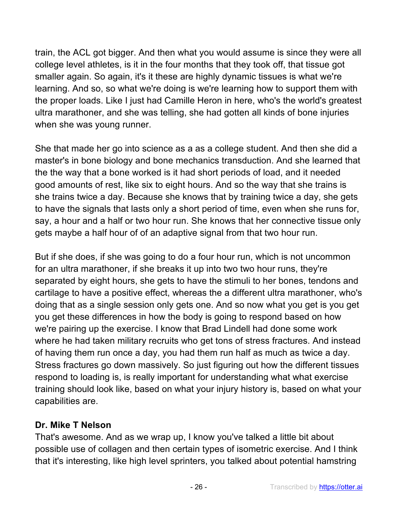train, the ACL got bigger. And then what you would assume is since they were all college level athletes, is it in the four months that they took off, that tissue got smaller again. So again, it's it these are highly dynamic tissues is what we're learning. And so, so what we're doing is we're learning how to support them with the proper loads. Like I just had Camille Heron in here, who's the world's greatest ultra marathoner, and she was telling, she had gotten all kinds of bone injuries when she was young runner.

She that made her go into science as a as a college student. And then she did a master's in bone biology and bone mechanics transduction. And she learned that the the way that a bone worked is it had short periods of load, and it needed good amounts of rest, like six to eight hours. And so the way that she trains is she trains twice a day. Because she knows that by training twice a day, she gets to have the signals that lasts only a short period of time, even when she runs for, say, a hour and a half or two hour run. She knows that her connective tissue only gets maybe a half hour of of an adaptive signal from that two hour run.

But if she does, if she was going to do a four hour run, which is not uncommon for an ultra marathoner, if she breaks it up into two two hour runs, they're separated by eight hours, she gets to have the stimuli to her bones, tendons and cartilage to have a positive effect, whereas the a different ultra marathoner, who's doing that as a single session only gets one. And so now what you get is you get you get these differences in how the body is going to respond based on how we're pairing up the exercise. I know that Brad Lindell had done some work where he had taken military recruits who get tons of stress fractures. And instead of having them run once a day, you had them run half as much as twice a day. Stress fractures go down massively. So just figuring out how the different tissues respond to loading is, is really important for understanding what what exercise training should look like, based on what your injury history is, based on what your capabilities are.

# **Dr. Mike T Nelson**

That's awesome. And as we wrap up, I know you've talked a little bit about possible use of collagen and then certain types of isometric exercise. And I think that it's interesting, like high level sprinters, you talked about potential hamstring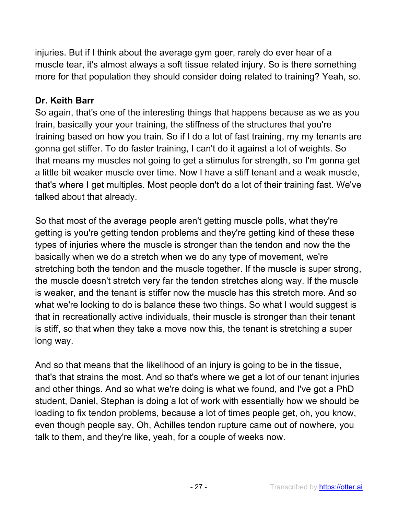injuries. But if I think about the average gym goer, rarely do ever hear of a muscle tear, it's almost always a soft tissue related injury. So is there something more for that population they should consider doing related to training? Yeah, so.

## **Dr. Keith Barr**

So again, that's one of the interesting things that happens because as we as you train, basically your your training, the stiffness of the structures that you're training based on how you train. So if I do a lot of fast training, my my tenants are gonna get stiffer. To do faster training, I can't do it against a lot of weights. So that means my muscles not going to get a stimulus for strength, so I'm gonna get a little bit weaker muscle over time. Now I have a stiff tenant and a weak muscle, that's where I get multiples. Most people don't do a lot of their training fast. We've talked about that already.

So that most of the average people aren't getting muscle polls, what they're getting is you're getting tendon problems and they're getting kind of these these types of injuries where the muscle is stronger than the tendon and now the the basically when we do a stretch when we do any type of movement, we're stretching both the tendon and the muscle together. If the muscle is super strong, the muscle doesn't stretch very far the tendon stretches along way. If the muscle is weaker, and the tenant is stiffer now the muscle has this stretch more. And so what we're looking to do is balance these two things. So what I would suggest is that in recreationally active individuals, their muscle is stronger than their tenant is stiff, so that when they take a move now this, the tenant is stretching a super long way.

And so that means that the likelihood of an injury is going to be in the tissue, that's that strains the most. And so that's where we get a lot of our tenant injuries and other things. And so what we're doing is what we found, and I've got a PhD student, Daniel, Stephan is doing a lot of work with essentially how we should be loading to fix tendon problems, because a lot of times people get, oh, you know, even though people say, Oh, Achilles tendon rupture came out of nowhere, you talk to them, and they're like, yeah, for a couple of weeks now.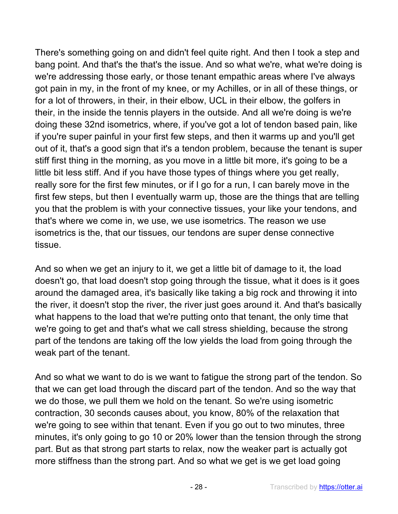There's something going on and didn't feel quite right. And then I took a step and bang point. And that's the that's the issue. And so what we're, what we're doing is we're addressing those early, or those tenant empathic areas where I've always got pain in my, in the front of my knee, or my Achilles, or in all of these things, or for a lot of throwers, in their, in their elbow, UCL in their elbow, the golfers in their, in the inside the tennis players in the outside. And all we're doing is we're doing these 32nd isometrics, where, if you've got a lot of tendon based pain, like if you're super painful in your first few steps, and then it warms up and you'll get out of it, that's a good sign that it's a tendon problem, because the tenant is super stiff first thing in the morning, as you move in a little bit more, it's going to be a little bit less stiff. And if you have those types of things where you get really, really sore for the first few minutes, or if I go for a run, I can barely move in the first few steps, but then I eventually warm up, those are the things that are telling you that the problem is with your connective tissues, your like your tendons, and that's where we come in, we use, we use isometrics. The reason we use isometrics is the, that our tissues, our tendons are super dense connective tissue.

And so when we get an injury to it, we get a little bit of damage to it, the load doesn't go, that load doesn't stop going through the tissue, what it does is it goes around the damaged area, it's basically like taking a big rock and throwing it into the river, it doesn't stop the river, the river just goes around it. And that's basically what happens to the load that we're putting onto that tenant, the only time that we're going to get and that's what we call stress shielding, because the strong part of the tendons are taking off the low yields the load from going through the weak part of the tenant.

And so what we want to do is we want to fatigue the strong part of the tendon. So that we can get load through the discard part of the tendon. And so the way that we do those, we pull them we hold on the tenant. So we're using isometric contraction, 30 seconds causes about, you know, 80% of the relaxation that we're going to see within that tenant. Even if you go out to two minutes, three minutes, it's only going to go 10 or 20% lower than the tension through the strong part. But as that strong part starts to relax, now the weaker part is actually got more stiffness than the strong part. And so what we get is we get load going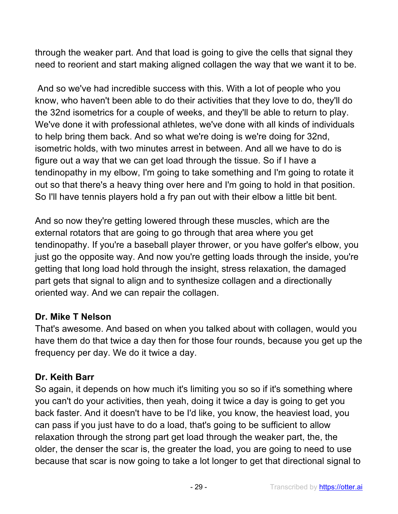through the weaker part. And that load is going to give the cells that signal they need to reorient and start making aligned collagen the way that we want it to be.

And so we've had incredible success with this. With a lot of people who you know, who haven't been able to do their activities that they love to do, they'll do the 32nd isometrics for a couple of weeks, and they'll be able to return to play. We've done it with professional athletes, we've done with all kinds of individuals to help bring them back. And so what we're doing is we're doing for 32nd, isometric holds, with two minutes arrest in between. And all we have to do is figure out a way that we can get load through the tissue. So if I have a tendinopathy in my elbow, I'm going to take something and I'm going to rotate it out so that there's a heavy thing over here and I'm going to hold in that position. So I'll have tennis players hold a fry pan out with their elbow a little bit bent.

And so now they're getting lowered through these muscles, which are the external rotators that are going to go through that area where you get tendinopathy. If you're a baseball player thrower, or you have golfer's elbow, you just go the opposite way. And now you're getting loads through the inside, you're getting that long load hold through the insight, stress relaxation, the damaged part gets that signal to align and to synthesize collagen and a directionally oriented way. And we can repair the collagen.

### **Dr. Mike T Nelson**

That's awesome. And based on when you talked about with collagen, would you have them do that twice a day then for those four rounds, because you get up the frequency per day. We do it twice a day.

# **Dr. Keith Barr**

So again, it depends on how much it's limiting you so so if it's something where you can't do your activities, then yeah, doing it twice a day is going to get you back faster. And it doesn't have to be I'd like, you know, the heaviest load, you can pass if you just have to do a load, that's going to be sufficient to allow relaxation through the strong part get load through the weaker part, the, the older, the denser the scar is, the greater the load, you are going to need to use because that scar is now going to take a lot longer to get that directional signal to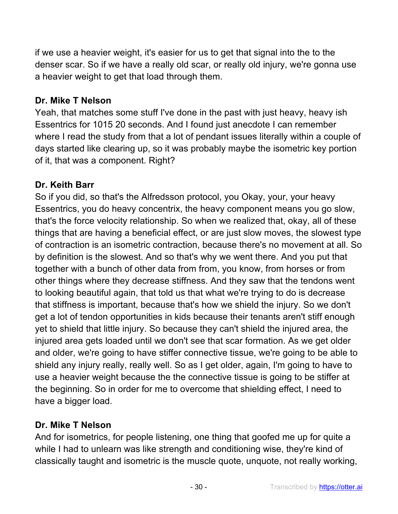if we use a heavier weight, it's easier for us to get that signal into the to the denser scar. So if we have a really old scar, or really old injury, we're gonna use a heavier weight to get that load through them.

# **Dr. Mike T Nelson**

Yeah, that matches some stuff I've done in the past with just heavy, heavy ish Essentrics for 1015 20 seconds. And I found just anecdote I can remember where I read the study from that a lot of pendant issues literally within a couple of days started like clearing up, so it was probably maybe the isometric key portion of it, that was a component. Right?

# **Dr. Keith Barr**

So if you did, so that's the Alfredsson protocol, you Okay, your, your heavy Essentrics, you do heavy concentrix, the heavy component means you go slow, that's the force velocity relationship. So when we realized that, okay, all of these things that are having a beneficial effect, or are just slow moves, the slowest type of contraction is an isometric contraction, because there's no movement at all. So by definition is the slowest. And so that's why we went there. And you put that together with a bunch of other data from from, you know, from horses or from other things where they decrease stiffness. And they saw that the tendons went to looking beautiful again, that told us that what we're trying to do is decrease that stiffness is important, because that's how we shield the injury. So we don't get a lot of tendon opportunities in kids because their tenants aren't stiff enough yet to shield that little injury. So because they can't shield the injured area, the injured area gets loaded until we don't see that scar formation. As we get older and older, we're going to have stiffer connective tissue, we're going to be able to shield any injury really, really well. So as I get older, again, I'm going to have to use a heavier weight because the the connective tissue is going to be stiffer at the beginning. So in order for me to overcome that shielding effect, I need to have a bigger load.

# **Dr. Mike T Nelson**

And for isometrics, for people listening, one thing that goofed me up for quite a while I had to unlearn was like strength and conditioning wise, they're kind of classically taught and isometric is the muscle quote, unquote, not really working,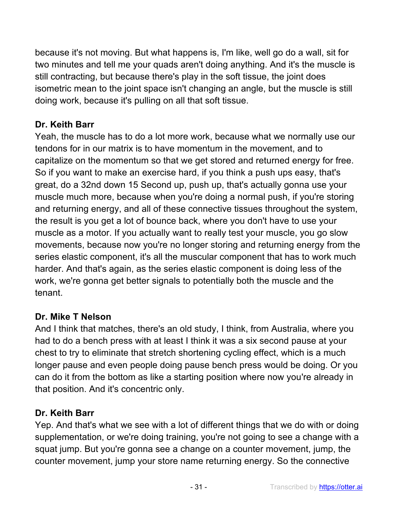because it's not moving. But what happens is, I'm like, well go do a wall, sit for two minutes and tell me your quads aren't doing anything. And it's the muscle is still contracting, but because there's play in the soft tissue, the joint does isometric mean to the joint space isn't changing an angle, but the muscle is still doing work, because it's pulling on all that soft tissue.

# **Dr. Keith Barr**

Yeah, the muscle has to do a lot more work, because what we normally use our tendons for in our matrix is to have momentum in the movement, and to capitalize on the momentum so that we get stored and returned energy for free. So if you want to make an exercise hard, if you think a push ups easy, that's great, do a 32nd down 15 Second up, push up, that's actually gonna use your muscle much more, because when you're doing a normal push, if you're storing and returning energy, and all of these connective tissues throughout the system, the result is you get a lot of bounce back, where you don't have to use your muscle as a motor. If you actually want to really test your muscle, you go slow movements, because now you're no longer storing and returning energy from the series elastic component, it's all the muscular component that has to work much harder. And that's again, as the series elastic component is doing less of the work, we're gonna get better signals to potentially both the muscle and the tenant.

### **Dr. Mike T Nelson**

And I think that matches, there's an old study, I think, from Australia, where you had to do a bench press with at least I think it was a six second pause at your chest to try to eliminate that stretch shortening cycling effect, which is a much longer pause and even people doing pause bench press would be doing. Or you can do it from the bottom as like a starting position where now you're already in that position. And it's concentric only.

### **Dr. Keith Barr**

Yep. And that's what we see with a lot of different things that we do with or doing supplementation, or we're doing training, you're not going to see a change with a squat jump. But you're gonna see a change on a counter movement, jump, the counter movement, jump your store name returning energy. So the connective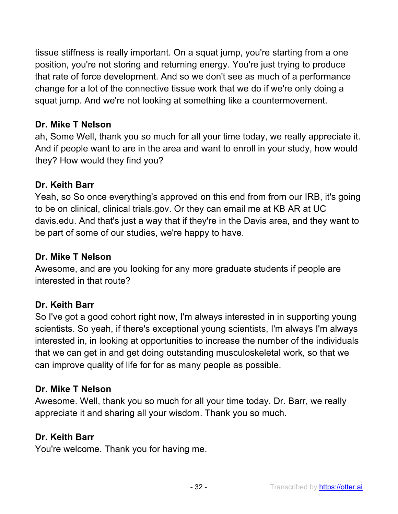tissue stiffness is really important. On a squat jump, you're starting from a one position, you're not storing and returning energy. You're just trying to produce that rate of force development. And so we don't see as much of a performance change for a lot of the connective tissue work that we do if we're only doing a squat jump. And we're not looking at something like a countermovement.

### **Dr. Mike T Nelson**

ah, Some Well, thank you so much for all your time today, we really appreciate it. And if people want to are in the area and want to enroll in your study, how would they? How would they find you?

### **Dr. Keith Barr**

Yeah, so So once everything's approved on this end from from our IRB, it's going to be on clinical, clinical trials.gov. Or they can email me at KB AR at UC davis.edu. And that's just a way that if they're in the Davis area, and they want to be part of some of our studies, we're happy to have.

#### **Dr. Mike T Nelson**

Awesome, and are you looking for any more graduate students if people are interested in that route?

#### **Dr. Keith Barr**

So I've got a good cohort right now, I'm always interested in in supporting young scientists. So yeah, if there's exceptional young scientists, I'm always I'm always interested in, in looking at opportunities to increase the number of the individuals that we can get in and get doing outstanding musculoskeletal work, so that we can improve quality of life for for as many people as possible.

#### **Dr. Mike T Nelson**

Awesome. Well, thank you so much for all your time today. Dr. Barr, we really appreciate it and sharing all your wisdom. Thank you so much.

#### **Dr. Keith Barr**

You're welcome. Thank you for having me.